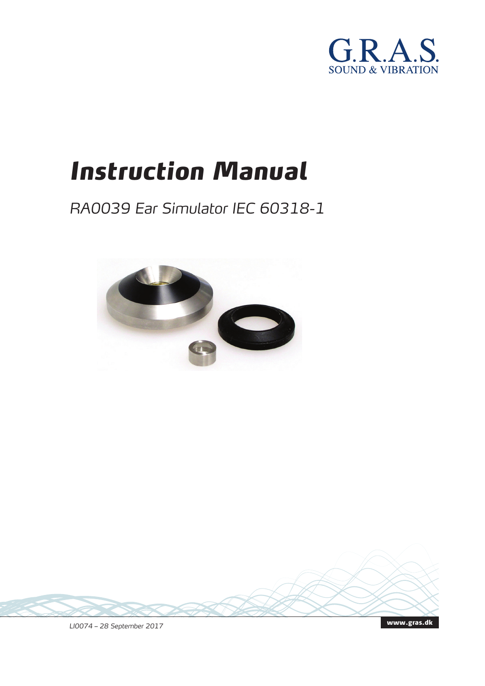

# *Instruction Manual*

# *RA0039 Ear Simulator IEC 60318-1*



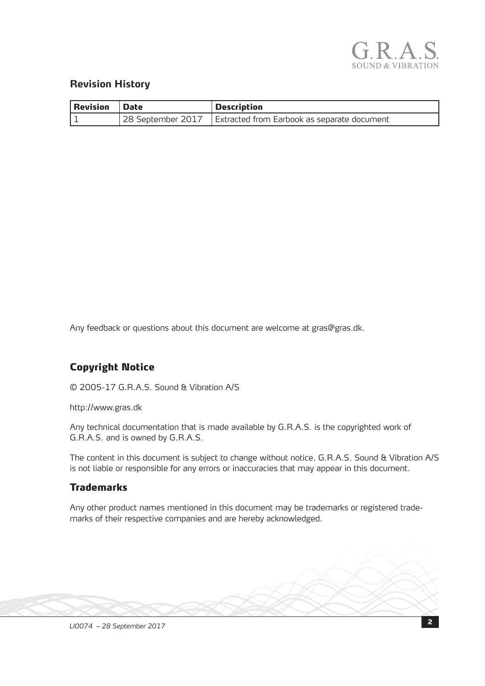

#### **Revision History**

| Revision   Date | <b>Description</b>                                              |
|-----------------|-----------------------------------------------------------------|
|                 | 28 September 2017   Extracted from Earbook as separate document |

Any feedback or questions about this document are welcome at gras@gras.dk.

#### Copyright Notice

© 2005-17 G.R.A.S. Sound & Vibration A/S

http://www.gras.dk

Any technical documentation that is made available by G.R.A.S. is the copyrighted work of G.R.A.S. and is owned by G.R.A.S.

The content in this document is subject to change without notice. G.R.A.S. Sound & Vibration A/S is not liable or responsible for any errors or inaccuracies that may appear in this document.

#### **Trademarks**

Any other product names mentioned in this document may be trademarks or registered trademarks of their respective companies and are hereby acknowledged.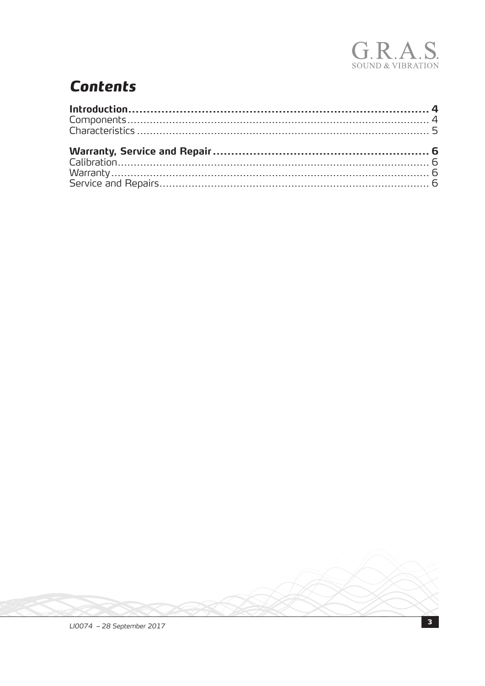

# **Contents**

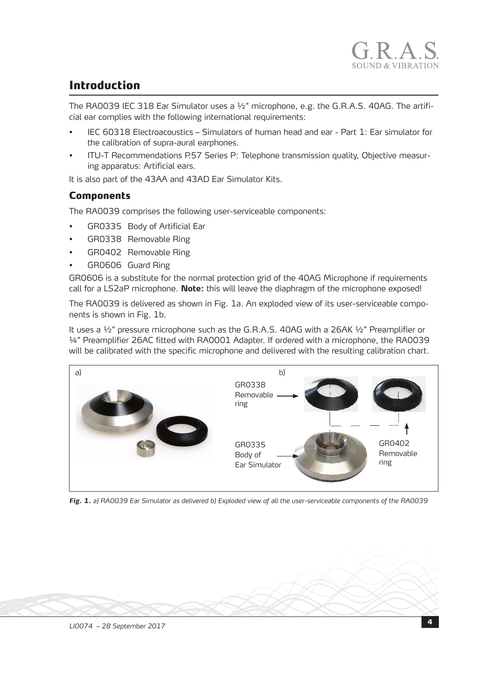## Introduction

The RA0039 IEC 318 Ear Simulator uses a ½" microphone, e.g. the G.R.A.S. 40AG. The artificial ear complies with the following international requirements:

- IEC 60318 Electroacoustics Simulators of human head and ear Part 1: Ear simulator for the calibration of supra-aural earphones.
- ITU-T Recommendations P.57 Series P: Telephone transmission quality, Objective measuring apparatus: Artificial ears.

It is also part of the 43AA and 43AD Ear Simulator Kits.

#### Components

The RA0039 comprises the following user-serviceable components:

- GR0335 Body of Artificial Ear
- GR0338 Removable Ring
- GR0402 Removable Ring
- GR0606 Guard Ring

GR0606 is a substitute for the normal protection grid of the 40AG Microphone if requirements call for a LS2aP microphone. **Note:** this will leave the diaphragm of the microphone exposed!

The RA0039 is delivered as shown in Fig. 1a. An exploded view of its user-serviceable components is shown in Fig. 1b.

It uses a ½" pressure microphone such as the G.R.A.S. 40AG with a 26AK ½" Preamplifier or ¼" Preamplifier 26AC fitted with RA0001 Adapter. If ordered with a microphone, the RA0039 will be calibrated with the specific microphone and delivered with the resulting calibration chart.



*Fig. 1. a) RA0039 Ear Simulator as delivered b) Exploded view of all the user-serviceable components of the RA0039*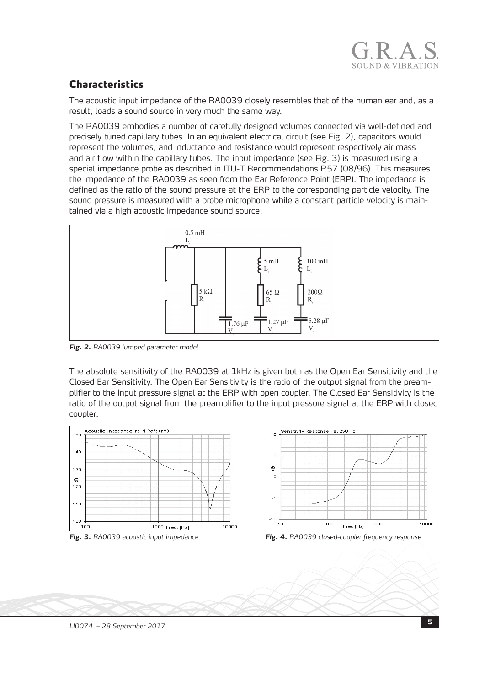

### Characteristics

The acoustic input impedance of the RA0039 closely resembles that of the human ear and, as a result, loads a sound source in very much the same way.

The RA0039 embodies a number of carefully designed volumes connected via well-defined and precisely tuned capillary tubes. In an equivalent electrical circuit (see Fig. 2), capacitors would represent the volumes, and inductance and resistance would represent respectively air mass and air flow within the capillary tubes. The input impedance (see Fig. 3) is measured using a special impedance probe as described in ITU-T Recommendations P.57 (08/96). This measures the impedance of the RA0039 as seen from the Ear Reference Point (ERP). The impedance is defined as the ratio of the sound pressure at the ERP to the corresponding particle velocity. The sound pressure is measured with a probe microphone while a constant particle velocity is maintained via a high acoustic impedance sound source.



*Fig. 2. RA0039 lumped parameter model*

The absolute sensitivity of the RA0039 at 1kHz is given both as the Open Ear Sensitivity and the Closed Ear Sensitivity. The Open Ear Sensitivity is the ratio of the output signal from the preamplifier to the input pressure signal at the ERP with open coupler. The Closed Ear Sensitivity is the ratio of the output signal from the preamplifier to the input pressure signal at the ERP with closed coupler.



<sup>5</sup> *LI0074 – 28 September 2017*